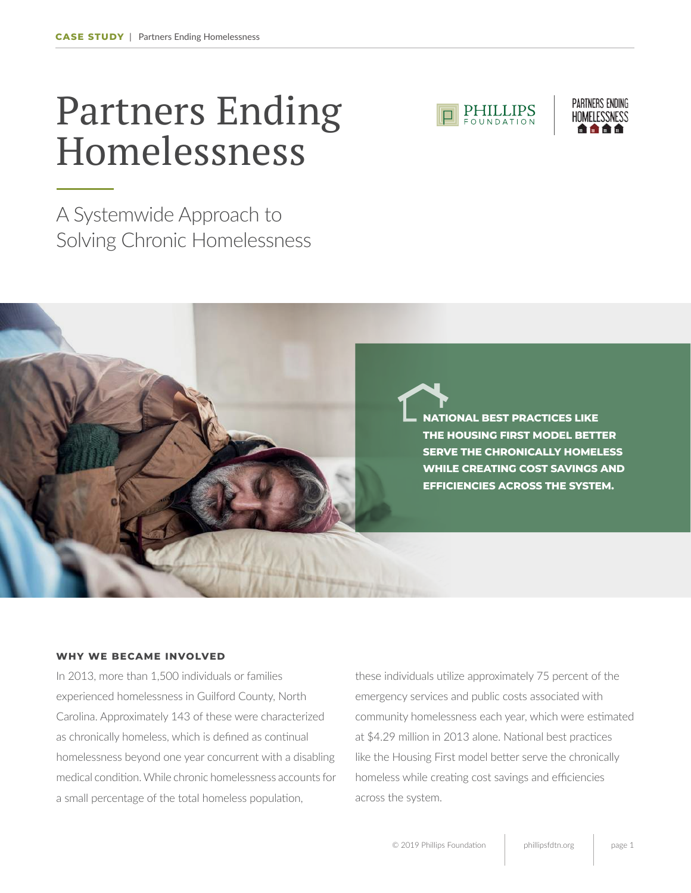## Partners Ending Homelessness

A Systemwide Approach to Solving Chronic Homelessness





**NATIONAL BEST PRACTICES LIKE THE HOUSING FIRST MODEL BETTER SERVE THE CHRONICALLY HOMELESS WHILE CREATING COST SAVINGS AND EFFICIENCIES ACROSS THE SYSTEM.** 

## **WHY WE BECAME INVOLVED**

In 2013, more than 1,500 individuals or families experienced homelessness in Guilford County, North Carolina. Approximately 143 of these were characterized as chronically homeless, which is defined as continual homelessness beyond one year concurrent with a disabling medical condition. While chronic homelessness accounts for a small percentage of the total homeless population,

these individuals utilize approximately 75 percent of the emergency services and public costs associated with community homelessness each year, which were estimated at \$4.29 million in 2013 alone. National best practices like the Housing First model better serve the chronically homeless while creating cost savings and efficiencies across the system.